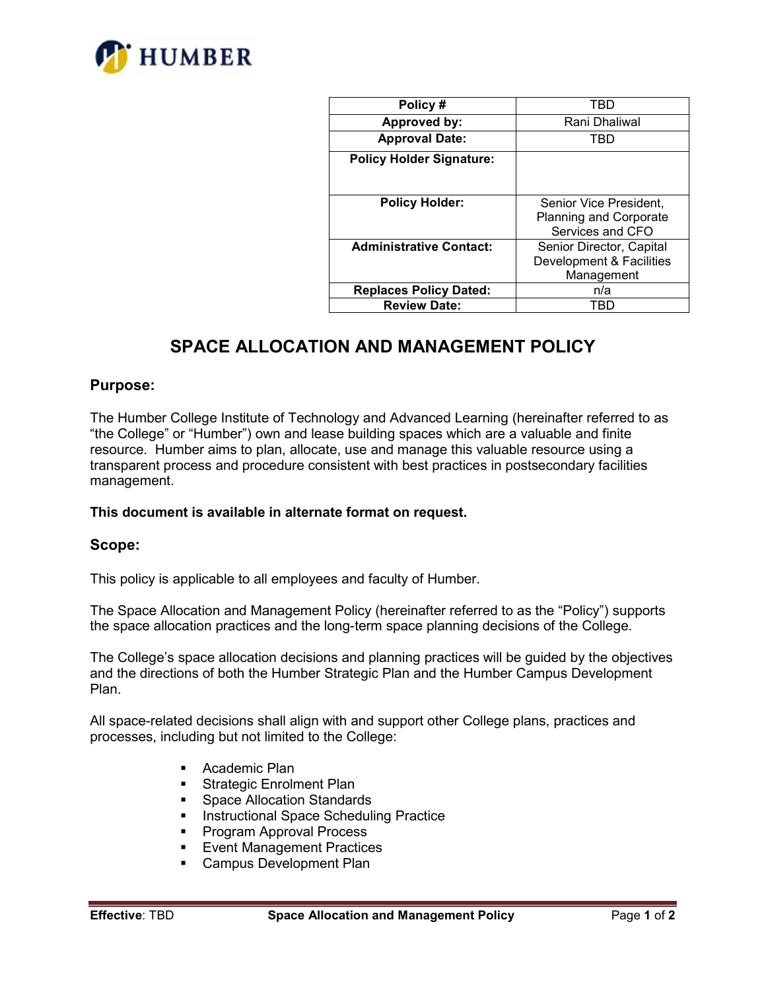

| Policy#                         | TBD                           |
|---------------------------------|-------------------------------|
| Approved by:                    | Rani Dhaliwal                 |
| <b>Approval Date:</b>           | TBD                           |
| <b>Policy Holder Signature:</b> |                               |
|                                 |                               |
|                                 |                               |
| <b>Policy Holder:</b>           | Senior Vice President,        |
|                                 | <b>Planning and Corporate</b> |
|                                 | Services and CFO              |
| <b>Administrative Contact:</b>  | Senior Director, Capital      |
|                                 | Development & Facilities      |
|                                 | Management                    |
| <b>Replaces Policy Dated:</b>   | n/a                           |
| <b>Review Date:</b>             | TRD                           |

# **SPACE ALLOCATION AND MANAGEMENT POLICY**

### **Purpose:**

The Humber College Institute of Technology and Advanced Learning (hereinafter referred to as "the College" or "Humber") own and lease building spaces which are a valuable and finite resource. Humber aims to plan, allocate, use and manage this valuable resource using a transparent process and procedure consistent with best practices in postsecondary facilities management.

#### **This document is available in alternate format on request.**

#### **Scope:**

This policy is applicable to all employees and faculty of Humber.

The Space Allocation and Management Policy (hereinafter referred to as the "Policy") supports the space allocation practices and the long-term space planning decisions of the College.

The College's space allocation decisions and planning practices will be guided by the objectives and the directions of both the Humber Strategic Plan and the Humber Campus Development Plan.

All space-related decisions shall align with and support other College plans, practices and processes, including but not limited to the College:

- **•** Academic Plan
- **Strategic Enrolment Plan**
- **Space Allocation Standards**
- **Instructional Space Scheduling Practice**
- **Program Approval Process**
- **Event Management Practices**
- **Campus Development Plan**